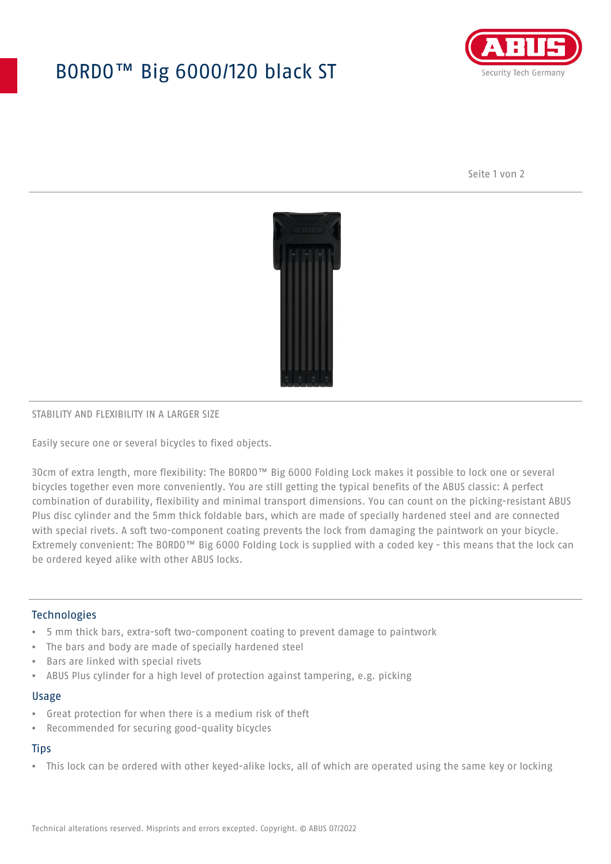# BORDO™ Big 6000/120 black ST



Seite 1 von 2



## STABILITY AND FLEXIBILITY IN A LARGER SIZE

Easily secure one or several bicycles to fixed objects.

30cm of extra length, more flexibility: The BORDO™ Big 6000 Folding Lock makes it possible to lock one or several bicycles together even more conveniently. You are still getting the typical benefits of the ABUS classic: A perfect combination of durability, flexibility and minimal transport dimensions. You can count on the picking-resistant ABUS Plus disc cylinder and the 5mm thick foldable bars, which are made of specially hardened steel and are connected with special rivets. A soft two-component coating prevents the lock from damaging the paintwork on your bicycle. Extremely convenient: The BORDO™ Big 6000 Folding Lock is supplied with a coded key - this means that the lock can be ordered keyed alike with other ABUS locks.

## **Technologies**

- 5 mm thick bars, extra-soft two-component coating to prevent damage to paintwork
- The bars and body are made of specially hardened steel
- Bars are linked with special rivets
- ABUS Plus cylinder for a high level of protection against tampering, e.g. picking

#### Usage

- Great protection for when there is a medium risk of theft
- Recommended for securing good-quality bicycles

## **Tips**

• This lock can be ordered with other keyed-alike locks, all of which are operated using the same key or locking